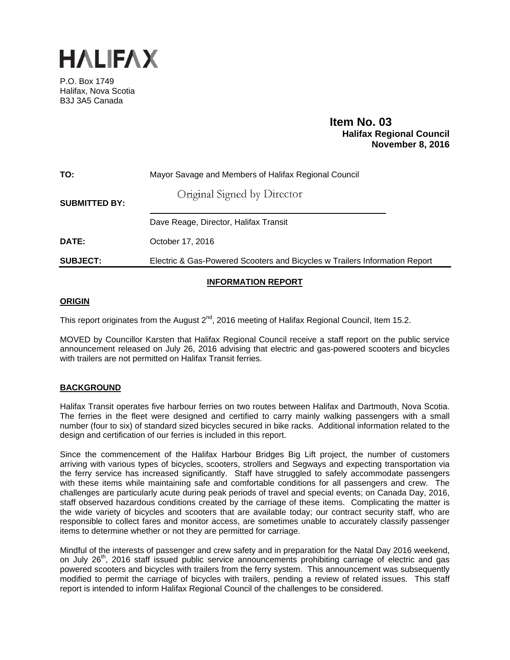

P.O. Box 1749 Halifax, Nova Scotia B3J 3A5 Canada

# **Item No. 03**<br>**Halifax Regional Council November 8, 2016**

| TO:                  | Mayor Savage and Members of Halifax Regional Council                       |
|----------------------|----------------------------------------------------------------------------|
| <b>SUBMITTED BY:</b> | Original Signed by Director                                                |
|                      | Dave Reage, Director, Halifax Transit                                      |
| DATE:                | October 17, 2016                                                           |
| <b>SUBJECT:</b>      | Electric & Gas-Powered Scooters and Bicycles w Trailers Information Report |
|                      |                                                                            |

## **INFORMATION REPORT**

### **ORIGIN**

This report originates from the August 2<sup>nd</sup>, 2016 meeting of Halifax Regional Council, Item 15.2.

MOVED by Councillor Karsten that Halifax Regional Council receive a staff report on the public service announcement released on July 26, 2016 advising that electric and gas-powered scooters and bicycles with trailers are not permitted on Halifax Transit ferries.

## **BACKGROUND**

Halifax Transit operates five harbour ferries on two routes between Halifax and Dartmouth, Nova Scotia. The ferries in the fleet were designed and certified to carry mainly walking passengers with a small number (four to six) of standard sized bicycles secured in bike racks. Additional information related to the design and certification of our ferries is included in this report.

Since the commencement of the Halifax Harbour Bridges Big Lift project, the number of customers arriving with various types of bicycles, scooters, strollers and Segways and expecting transportation via the ferry service has increased significantly. Staff have struggled to safely accommodate passengers with these items while maintaining safe and comfortable conditions for all passengers and crew. The challenges are particularly acute during peak periods of travel and special events; on Canada Day, 2016, staff observed hazardous conditions created by the carriage of these items. Complicating the matter is the wide variety of bicycles and scooters that are available today; our contract security staff, who are responsible to collect fares and monitor access, are sometimes unable to accurately classify passenger items to determine whether or not they are permitted for carriage.

Mindful of the interests of passenger and crew safety and in preparation for the Natal Day 2016 weekend, on July 26<sup>th</sup>, 2016 staff issued public service announcements prohibiting carriage of electric and gas powered scooters and bicycles with trailers from the ferry system. This announcement was subsequently modified to permit the carriage of bicycles with trailers, pending a review of related issues. This staff report is intended to inform Halifax Regional Council of the challenges to be considered.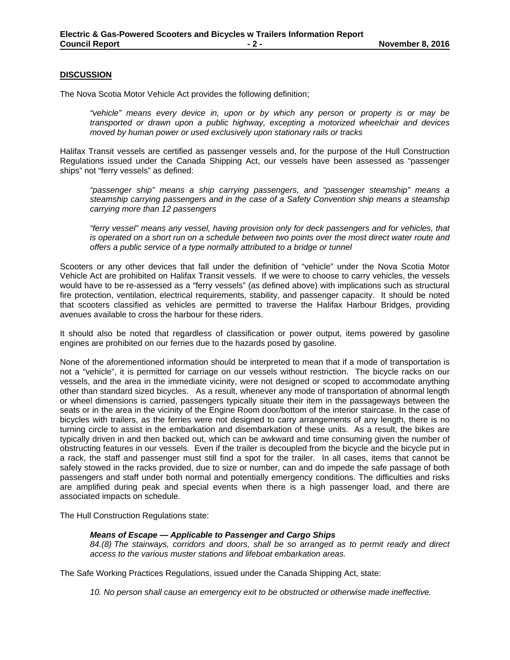#### **DISCUSSION**

The Nova Scotia Motor Vehicle Act provides the following definition;

*"vehicle" means every device in, upon or by which any person or property is or may be transported or drawn upon a public highway, excepting a motorized wheelchair and devices moved by human power or used exclusively upon stationary rails or tracks* 

Halifax Transit vessels are certified as passenger vessels and, for the purpose of the Hull Construction Regulations issued under the Canada Shipping Act, our vessels have been assessed as "passenger ships" not "ferry vessels" as defined:

*"passenger ship" means a ship carrying passengers, and "passenger steamship" means a steamship carrying passengers and in the case of a Safety Convention ship means a steamship carrying more than 12 passengers* 

*"ferry vessel" means any vessel, having provision only for deck passengers and for vehicles, that*  is operated on a short run on a schedule between two points over the most direct water route and *offers a public service of a type normally attributed to a bridge or tunnel* 

Scooters or any other devices that fall under the definition of "vehicle" under the Nova Scotia Motor Vehicle Act are prohibited on Halifax Transit vessels. If we were to choose to carry vehicles, the vessels would have to be re-assessed as a "ferry vessels" (as defined above) with implications such as structural fire protection, ventilation, electrical requirements, stability, and passenger capacity. It should be noted that scooters classified as vehicles are permitted to traverse the Halifax Harbour Bridges, providing avenues available to cross the harbour for these riders.

It should also be noted that regardless of classification or power output, items powered by gasoline engines are prohibited on our ferries due to the hazards posed by gasoline.

None of the aforementioned information should be interpreted to mean that if a mode of transportation is not a "vehicle", it is permitted for carriage on our vessels without restriction. The bicycle racks on our vessels, and the area in the immediate vicinity, were not designed or scoped to accommodate anything other than standard sized bicycles. As a result, whenever any mode of transportation of abnormal length or wheel dimensions is carried, passengers typically situate their item in the passageways between the seats or in the area in the vicinity of the Engine Room door/bottom of the interior staircase. In the case of bicycles with trailers, as the ferries were not designed to carry arrangements of any length, there is no turning circle to assist in the embarkation and disembarkation of these units. As a result, the bikes are typically driven in and then backed out, which can be awkward and time consuming given the number of obstructing features in our vessels. Even if the trailer is decoupled from the bicycle and the bicycle put in a rack, the staff and passenger must still find a spot for the trailer. In all cases, items that cannot be safely stowed in the racks provided, due to size or number, can and do impede the safe passage of both passengers and staff under both normal and potentially emergency conditions. The difficulties and risks are amplified during peak and special events when there is a high passenger load, and there are associated impacts on schedule.

The Hull Construction Regulations state:

#### *Means of Escape — Applicable to Passenger and Cargo Ships*

*84.(8) The stairways, corridors and doors, shall be so arranged as to permit ready and direct access to the various muster stations and lifeboat embarkation areas.*

The Safe Working Practices Regulations, issued under the Canada Shipping Act, state:

*10. No person shall cause an emergency exit to be obstructed or otherwise made ineffective.*